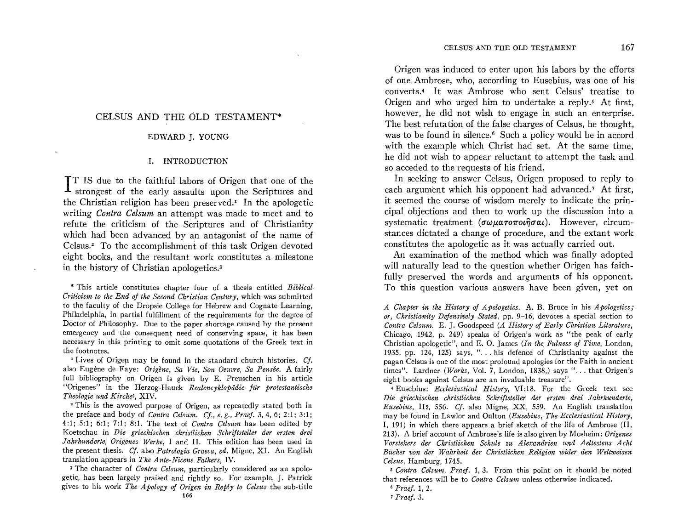### CELSUS AND THE OLD TESTAMENT\*

#### EDWARD J. YOUNG

#### 1. INTRODUCTION

IT IS due to the faithful labors of Origen that one of the **A** strongest of the early assaults upon the Scriptures and the Christian religion has been preserved.' In the apologetic writing *Contra Celsum* an attempt was made to meet and to refute the criticism of the Scriptures and of Christianity which had been advanced by an antagonist of the name of Celsus? To the accomplishment of this task Origen devoted eight books, and the resultant work constitutes a milestone in the history of Christian apologetics.<sup>3</sup>

\* This article constitutes chapter four of a thesis entitled *Biblical. Criticism to the End of the Second Christian Century,* which was submitted to the faculty of the Dropsie College for Hebrew and Cognate Learning, Philadelphia, in partial fulfillment of the requirements for the degree of Doctor of Philosophy. Due to the paper shortage caused by the present emergency and the consequent need of conserving space, it has been necessary in this printing to omit some quotations of the Greek text in the footnotes.

<sup>1</sup> Lives of Origen may be found in the standard church histories. Cf. also Eugene de Faye: *Origene, Sa Vie, Son Oeuvre, Sa Pensee.* A fairly full bibliography on Origen is given by E. Preuschen in his article "Origenes" in the Herzog-Hauck *Realencyklopiidie fur protestantische Theologie und Kirche3,* XIV.

2 This is the avowed purpose of Origen, as repeatedly stated both in the preface and body of *Contra Celsum. Cj., e. g., Praef.* 3,4,6; 2:1; 3:1; 4:1; 5:1; 6:1; '1:1; 8:1. The text of *Contra Celsum* has been edited by Koetschau in *Die griechischen christlichen Schriftsteller der ersten drei Jahrhunderte, Origenes Werke,* I and **11.** This edition has been used in the present thesis. Cf. also *Patrologia Graeca, ed.* Migne, XI. An English translation appears in *The Ante-Nicene Fathers,* IV.

3 The character of *Contra Celsum,* particularly considered as an apologetic, has been largely praised and rightly so. For example, J. Patrick gives to his work *The Apology of Origen in Reply to Celsus* the sub-title

166

Origen was induced to enter upon his labors by the efforts of one Ambrose, who, according to Eusebius, was one of his converts.4 It was Ambrose who sent Celsus' treatise to Origen and who urged him to undertake a reply.<sup>5</sup> At first, however, he did not wish to engage in such an enterprise. The best refutation of the false charges of Celsus, he thought, was to be found in silence.<sup>6</sup> Such a policy would be in accord with the example which Christ had set. At the same time, he did not wish to appear reluctant to attempt the task and so acceded to the requests of his friend.

In seeking to answer Celsus, Origen proposed to reply to each argument which his opponent had advanced.<sup>7</sup> At first, it seemed the course of wisdom merely to indicate the principal objections and then to work up the discussion into a systematic treatment  $(\sigma \omega \mu \alpha \tau \sigma \pi o \iota \hat{\eta} \sigma \alpha \iota)$ . However, circumstances dictated a change of procedure, and the extant work constitutes the apologetic as it was actually carried out.

An examination of the method which was finally adopted will naturally lead to the question whether Origen has faithfully preserved the words and arguments of his opponent. To this question various answers have been given, yet on

*A Chapter in the History of Apologetics.* A. B. Bruce in his *Apologetics* " *or, Christianity Defensively Stated,* pp. 9-16, devotes a special section to *Contra Celsum.* E. J. Goodspeed *(A History of Early Christian Literature,*  Chicago, 1942, p. 249) speaks of Origen's work as "the peak of early Christian apologetic", and E. O. James *(In the, Fulness of Time,* London, 1935, pp. 124, 125) says, " $\ldots$  his defence of Christianity against the pagan Celsus is one of the most profound apologies for the Faith in ancient times". Lardner *(Works*, Vol. 7, London, 1838,) says "... that Origen's eight books against Celsus are an invaluable treasure".

4 Eusebius: *Ecclesiastical History,* VI:18. For the Greek text see Die griechischen christlichen Schriftsteller der ersten drei Jahrhunderte, *Eusebius,* Ih, 556. *Cj.* also Migne, XX, 559. An English translation may be found in Lawlor and Oulton *(Eusebius, The Ecclesiastical History,*  I, 191) in which there appears a brief sketch of the life of Ambrose (Il, 213). A brief account of Ambrose's life is also given by Mosheim: *Origenes Vorstehers der Christlichen Schule zu Alexandrien It1td Aeltestens Acht Bucher von der Wahrheit der Christliche1t Religion wider den Weltweisen Celsus,* Hamburg, 1745.

*5 Contra Celsum, Praef.* 1,3. From this point on it should be noted that references will be to *Contra Celsum* unless otherwise indicated.

<sup>6</sup>*Praef.* 1, 2.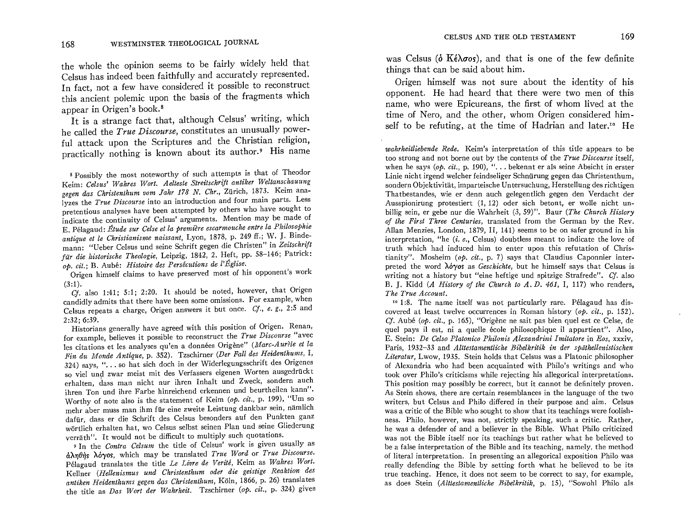the whole the opinion seems to be fairly widely held that Celsus has indeed been faithfully and accurately represented. In fact, not a few have considered it possible to reconstruct this ancient polemic upon the basis of the fragments which appear in Origen's book. 8

It is a strange fact that, although Celsus' writing, which he called the *True Discourse,* constitutes an unusually powerful attack upon the Scriptures and the Christian religion, practically nothing is known about its author.<sup>9</sup> His name

8 Possibly the most noteworthy of such attempts is that of Theodor Keim: *Ce/sus' Wahres Wort. Aelteste Streitschrift antiker Weltanschauung gegen das Christenthum vom Jahr* 178 *N. Chr.,* Zurich, 1873. Keim analyzes the *True Discourse* into an introduction and four main parts. Less pretentious analyses have been attempted by others who have sought to indicate the continuity of Celsus' arguments. Mention may be made of E. Pelagaud: *Etude sur Celse et la premiere escarmouche entre la Philosophie antique et le Christianisme naissant,* Lyon, 1878, p. 249 ff.; W. ]. Bindemann: "Ueber Celsus und seine Schrift gegen die Christen" in *Zeitschrift filr die ltistorische Theologie,* Leipzig, 1842, 2. Heft, pp. 58-146; Patrick: *op. cit.;* B. Aube: *Histoire des Persecutions de I'Eglise.* 

Origen himself claims to have preserved most of his opponent's work (3:1).

Cf. also 1:41; 5:1; 2:20. It should be noted, however, that Origen candidly admits that there have been some omissions. For example, when Celsus repeats a charge, Origen answers it but once. *Cf., e. g.,* 2:5 and 2:32; 6:39.

Historians generally have agreed with this position of Origen. Renan, for example, believes it possible to reconstruct the *True Discourse* "avec les citations et les analyses qu'en a données Origène" *(Marc-Aurèle et la Fin du l.Ionde Antique,* p. 352). Tzschirner *(Der Fall des Heidenthums,* I, 324) says, "... so hat sich doch in der Widerlegungsschrift des Origenes so viel und zwar meist mit des Verfassers eigenen Worten ausgedrückt erhalten, dass man nicht nur ihren Inhalt und Zweck, sondern auch ihren Ton und ihre Farbe hinreichend erkennen und beurtheilen kann". Worthy of note also is the statement of Keim (op. cit., p. 199), "Um so mehr aber muss man ihm für eine zweite Leistung dankbar sein, nämlich dafiir, dass er die Schrift des Celsus besonders auf den Punkten ganz wörtlich erhalten hat, wo Celsus selbst seinen Plan und seine Gliederung verrath". It would not be difficult to multiply such quotations.

9 In the *Contra Celsum* the title of Celsus' work is given usually as  $d\lambda$ ηθής λόγος, which may be translated *True Word* or *True Discourse*. Pelagaud translates the title *Le Livre de Verite,* Keim as *Wahres Wort.*  Kellner *(Hellenismus und Christenthum oder die geistige Reaktion des antiken Heidenthums gegen das Christenthum,* Koln, 1866, p. 26) translates the title as *Das Wort der Wahrheit.* Tzschirner *(op. cit.,* p. 324) gives was Celsus ( $\delta$  K $\epsilon \lambda \sigma$ os), and that is one of the few definite things that can be said about him.

Origen himself was not sure about the identity of his opponent. He had heard that there were two men of this name, who were Epicureans, the first of whom lived at the time of Nero, and the other, whom Origen considered himself to be refuting, at the time of Hadrian and later.<sup>10</sup> He

*wahrheitliebende Rede.* Keim's interpretation of this title appears to be too strong and not borne out by the contents of the *True Discourse* itself when he says (op. cit., p. 190), "... bekennt er als seine Absicht in erster Linie nicht irgend welcher feindseliger Schnürung gegen das Christenthum. sondern Objektivität, imparteische Untersuchung, Herstellung des richtigen Thatbestandes, wie er denn auch gelegentlich gegen den Verdacht der Ausspionirung protestiert (1, 12) oder sich betont, er wolle nicht unbllhg sem, er gebe nur die Wahrheit (3,59)". Baur *(The Church History of the First Three Centuries,* translated from the German by the Rev Allan Menzies, London, 1879, II, 141) seems to be on safer ground in his interpretation, "he *(i. e., Celsus)* doubtless meant to indicate the love of truth which had induced him to enter upon this refutation of Christianity". Mosheim *(op. cit.,* p. 7) says that Claudius Caponnier interpreted the word *X6"(os* as *Geschichte,* but he himself says that Celsus is writing not a history but "eine heftige und spitzige Strafrede". *Cf.* also B. ]. Kidd *(A History of the Church to A. D.* 461, I, 117) who renders, *The True Account.* 

<sup>10</sup> 1:8. The name itself was not particularly rare. Pélagaud has discovered at least twelve occurrences in Roman history *(op. cit.,* p. 152). Cf. Aube *(op. cit.,* p. 165), "Origene ne sait pas bien quel est ce Celse de quel pays il est, ni a quelle école philosophique il appartient". Also, E. ~tem: *De Celso Platonico Philonis Alexandrini Imitatore* in *Eos,* xxxiv, Paris, 1932–33 and *Alttestamentliche Bibelkritik in der späthellenistischen* Literatur, Lwow, 1935. Stein holds that Celsus was a Platonic philosopher of Alexandria who had been acquainted with Philo's writings and who took over Philo's criticisms while rejecting his allegorical interpretations. This position may possibly be correct, but it cannot be definitely proven. As Stein shows, there are certain resemblances in the language of the two writers, but Celsus and Philo differed in their purpose and aim. Celsus was a critic of the Bible who sought to show that its teachings were foolishness. Phllo, however, was not, strictly speaking, such a critic. Rather, he was a defender of and a believer in the Bible. What Philo criticized was not the Bible itself nor its teachings but rather what he believed to be a false interpretation of the Bible and its teaching, namely, the method of lIteral mterpretation. In presenting an allegorical exposition Philo was really defending the Bible by setting forth what he believed to be its true teaching. Hence, it does not seem to be correct to say, for example, as does Stein *(Alttestamentliche Bibelkritik*, p. 15), "Sowohl Philo als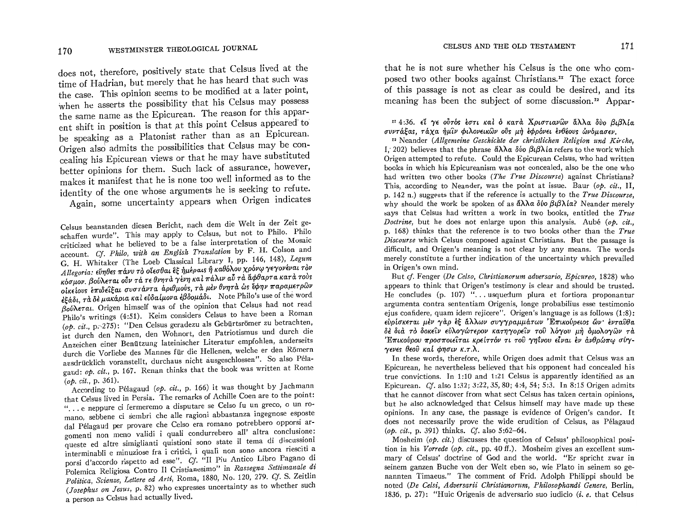does not, therefore, positively state that Celsus lived at the time of Hadrian, but merely that he has heard that such was the case. This opinion seems to be modified at a later point, when he asserts the possibility that his Celsus may possess the same name as the Epicurean. The reason for this apparent shift in position is that at this point Celsus appeared to be speaking as a Platonist rather than as an Epicurean. Origen also admits the possibilities that Celsus may be concealing his Epicurean views or that he may have substituted better opinions for them. Such lack of assurance, however, makes it manifest that he is none too well informed as to the identity of the one whose arguments he is seeking to refute. Again, some uncertainty appears when Origen indicates

Celsus beanstanden diesen Bericht, nach dem die Welt in der Zeit geschaffen wurde". This may apply to Celsus, but not to Philo. Philo criticized what he believed to be a false interpretation of the Mosaic account. Cf. Philo, with an English Translation by F. H. Colson and G. H. Whitaker (The Loeb Classical Library I. pp. 146, 148), Legum Allegoria: εύηθες πάνυ το οιεσθαι εξ ημέραις η καθόλου χρόνω γεγονέναι τον κόσμον. βούλεται ούν τά τε θνητά γένη και πάλιν αύ τα άφθαρτα κατά τους οίκείους επιδείξαι συστάντα άριθμούς, τα μεν θνητά ως έφην παραμετρών εξάδι, τα δε μακάρια και ευδαίμονα εβδομάδι. Note Philo's use of the word Boulderal. Origen himself was of the opinion that Celsus had not read Philo's writings (4:51). Keim considers Celsus to have been a Roman  $($ op. cit., p. 275): "Den Celsus geradezu als Gebürtsrömer zu betrachten, ist durch den Namen, den Wohnort, den Patriotismus und durch die Anzeichen einer Benützung lateinischer Literatur empfohlen, anderseits durch die Vorliebe des Mannes für die Hellenen, welche er den Römern ausdrücklich voranstellt, durchaus nicht ausgeschlossen". So also Pélagaud: op. cit., p. 167. Renan thinks that the book was written at Rome  $(op. cit., p. 361).$ 

According to Pélagaud (op. cit., p. 166) it was thought by Jachmann that Celsus lived in Persia. The remarks of Achille Coen are to the point: "... e neppure ci fermeremo a disputare se Celso fu un greco, o un romano, sebbene ci sembri che alle ragioni abbastanza ingegnose esposte dal Pélagaud per provare che Celso era romano potrebbero opporsi argomenti non meno validi i quali condurrebero all' altra conclusione; queste ed altre simiglianti quistioni sono state il tema di discussioni interminabli e minuziose fra i critici, i quali non sono ancora riesciti a porsi d'accordo rispetto ad esse". Cf. "Il Piu Antico Libro Pagano di Polemica Religiosa Contro Il Cristianesimo" in Rassegna Settimanale di Politica, Scienze, Lettere ed Arti, Roma, 1880, No. 120, 279. Cf. S. Zeitlin (Josephus on Jesus, p. 82) who expresses uncertainty as to whether such a person as Celsus had actually lived.

that he is not sure whether his Celsus is the one who composed two other books against Christians.<sup>11</sup> The exact force of this passage is not as clear as could be desired, and its meaning has been the subject of some discussion.<sup>12</sup> Appar-

<sup>11</sup> 4:36. εί γε ούτός έστι καί ο κατά Χριστιανών άλλα δύο βιβλία συντάξας. τάχα ήμιν φιλονεικών ούς μή εφρόνει ένθέους ώνομασεν.

<sup>12</sup> Neander (Allgemeine Geschichte der christlichen Religion und Kirche. I. 202) believes that the phrase  $\partial \lambda \lambda \partial \partial \partial \theta$   $\partial \lambda \partial \lambda \partial \partial \theta$  refers to the work which Origen attempted to refute. Could the Epicurean Celsus, who had written books in which his Epicureanism was not concealed, also be the one who had written two other books (The True Discourse) against Christians? This, according to Neander, was the point at issue. Baur (op. cit., II, p. 142 n.) suggests that if the reference is actually to the True Discourse. why should the work be spoken of as  $\ddot{\alpha}\lambda\lambda\alpha\delta\dot{\alpha}\beta\alpha\beta\lambda\dot{\alpha}$ ? Neander merely says that Celsus had written a work in two books, entitled the True *Doctrine*. but he does not enlarge upon this analysis. Aubé (*ob. cit..*) p. 168) thinks that the reference is to two books other than the  $True$ *Discourse* which Celsus composed against Christians. But the passage is difficult, and Origen's meaning is not clear by any means. The words merely constitute a further indication of the uncertainty which prevailed in Origen's own mind.

But cf. Fenger (De Celso, Christianorum adversario, Epicureo, 1828) who appears to think that Origen's testimony is clear and should be trusted. He concludes (p. 107) "... usquedum plura et fortiora proponantur argumenta contra sententiam Origenis, longe probabilius esse testimonio eius confidere, quam idem reiicere". Origen's language is as follows (1:8): ευρίσκεται μέν γάρ έξ άλλων συγγραμμάτων 'Επικούρειος ὤν' ένταθθα δέ διά το δοκείν εύλογώτερον κατηγορείν του λόγου μή ομολογών τα Επικούρου προσποιείται κρείττόν τι του γηΐνου είναι έν άνθρώπω σύγ- $\gamma$ ενες θεού καί φησιν κ.τ.λ.

In these words, therefore, while Origen does admit that Celsus was an Epicurean, he nevertheless believed that his opponent had concealed his true convictions. In 1:10 and 1:21 Celsus is apparently identified as an Epicurean. Cf. also 1:32; 3:22, 35, 80; 4:4, 54; 5:3. In 8:15 Origen admits that he cannot discover from what sect Celsus has taken certain opinions, but he also acknowledged that Celsus himself may have made up these opinions. In any case, the passage is evidence of Origen's candor. It does not necessarily prove the wide erudition of Celsus, as Pélagaud  $(0b, cii, p. 391)$  thinks. Cf. also 5:62-64.

Mosheim  $(\rho \rho, c\dot{t})$ , discusses the question of Celsus' philosophical position in his Vorrede (op. cit., pp. 40 ff.). Mosheim gives an excellent summary of Celsus' doctrine of God and the world. "Er spricht zwar in seinem ganzen Buche von der Welt eben so, wie Plato in seinem so genannten Timaeus." The comment of Frid. Adolph Philippi should be noted (De Celsi, Adversarii Christianorum, Philosophandi Genere, Berlin, 1836, p. 27): "Huic Origenis de adversario suo iudicio *(i. e.* that Celsus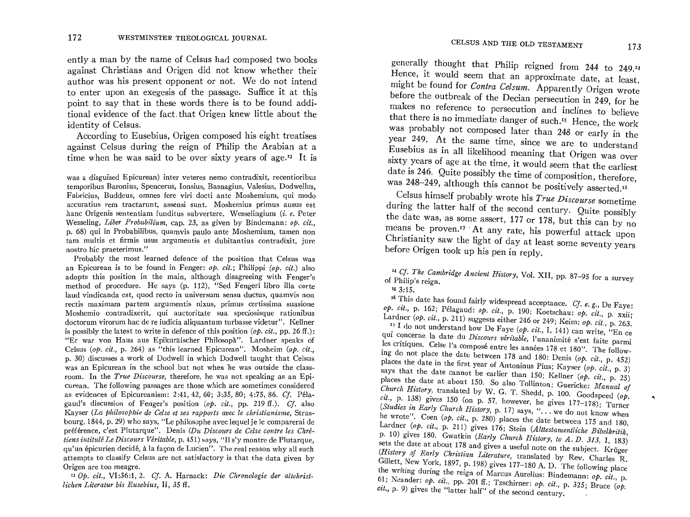ently a man by the name of Celsus had composed two books against Christians and Origen did not know whether their author was his present opponent or not. We do not intend to enter upon an exegesis of the passage. Suffice it at this point to say that in these words there is to be found additional evidence of the fact that Origen knew little about the surfact was his present opponent or not. We do not intend<br>to enter upon an exegesis of the passage. Suffice it at this<br>point to say that in these words there is to be found addi-<br>ional evidence of the fact that Origen knew identity of Celsus.<br>According to Eusebius, Origen composed his eight treatises

against Celsus during the reign of Philip the Arabian at a time when he was said to be over sixty years of age.<sup>13</sup> It is

was a disguised Epicurean) inter veteres nemo contradixit, recentioribus temporibus Baronius, Spencerus, Ionsius, Basnagius, Valesius, Dodwellus, Fabricius. Buddeus, omnes fere viri docti ante Moshemium, qui modo accuratius rem tractarunt, assensi sunt. Moshemius primus ausus est hanc Origenis sententiam funditus subvertere. Wesselingium *(i. e.* Peter Wesseling, *Liber Probabilium*, cap. 23, as given by Bindemann; *op. cit.*, p. 68) qui in Probabilibus, quamvis paulo ante Moshemium, tamen non tam multis et firmis usus argumentis et dubitantius contradixit, jure nostro hic praeterimus."

Probably the most learned defence of the position that Celsus was an Epicurean is to be found in Fenger:  $\sigma p$ . *cit.*; Philippi ( $\sigma p$ . *cit.*) also adopts this position in the main, although disagreeing with Fenger's method of procedure. He says (p. 112), "Sed Fengeri libro illa certe laud vindicanda est, quod recto in universum sensu ductus, quamvis non rectis maximam partem argumentis nixus. primus certissima suasione Moshemio contradixerit, qui auctoritate sua speciosisque rationibus doctorum virorum hac de re iudicia aliquantum turbasse videtur". Kellner is possibly the latest to write in defence of this position *(op. cit.,* pp. 26 ff.): "Er war von Haus aus Epikuraischer Philosoph". Lardner speaks of Celsus *(op. cit.,* p. 264) as "this learned Epicurean". Mosheim *(op. cit.,*  p. 30) discusses a work of Dodwell in which Dodwell taugh: that Celsus was an Epicurean in the school but not when he was outside the classroom. In the *True Discourse*, therefore, he was not speaking as an Epicurean. The following passages are those which are sometimes considered as evidences of Epicureanism: 2 :41,42, 60; 3:35, 80; 4:75, 86. Cf. Pelagaud's discussion of Fenger's position (op. cit., pp. 219 ff.). *Cf.* also Kayser *(La philosophie de Celse et ses rapports avec le christianisme*, Strasbourg,  $1844$ , p. 29) who says, "Le philosophe avec lequel je le comparerai de préférence, c'est Plutarque". Denis (Du Discours de Celse contre les Chré*tiens intitulé Le Discours Véritable, p.* 451) says, "Il s'y montre de Plutarque, qu'un épicurien decidé, à la façon de Lucien". The real reason why all such attempts to classify Celsus are not satisfactory is that the data given by Origen are too meagre.

*130p. cit.,* VI:36:1, 2. *Cj.* A. Harnack: *Die Chronologie der altchristlichen Literatur bis Eusebius,* Il, 35 ff.

generally thought that Philip reigned from 244 to 249.14 Hence, it would seem that an approximate date, at least, might be found for *Contra Celsum.* Apparently Origen wrote before the outbreak of the Decian persecution in 249, for he makes no reference to persecution and inclines to believe that there is no immediate danger of such.<sup>15</sup> Hence, the work was probably not composed later than 248 or early in the year 249. At the same time, since we are to understand Eusebius as in all likelihood meaning that Origen was over sixty years of age at the time, it would seem that the earliest date is 246. Quite possibly the time of composition, therefore, was 248-249, although this cannot be positively asserted.<sup>16</sup>

Celsus himself probably wrote his *True Discourse* sometime during the latter half of the second century. Quite possibly the date was, as some assert, 177 or 178, but this can by no means be proven.<sup>17</sup> At any rate, his powerful attack upon Christianity saw the light of day at least some seventy years before Origen took up his pen in reply.

*"4* Cf· *The Cambridge Ancient History,* Vo!. XII, pp. 87-95 for a survey of Philip's reign.

 $15.3:15.$ 

16 This date has found fairly widespread acceptance. Cf. *e. g.,* De Faye: *op. cit.,* p. 162; Pelagaud: *op. cit.,* p. 190; Koetschau: *op. cit.,* p. xxii: Lardner *(op. cit.,* p. 211) suggests either 246 or 249; Keim: *op. cit.,* p. 263.

17 I do not understand how De Faye *(op. cit.,* I, 141) can write, "En ce qui concerne la date du *Discours véritable*, l'unanimité s'est faite parmi les critiques. Celse l'a composé entre les années 178 et 180". The following do not place the date between 178 and 180: Denis *(op. cit.,* p. 452) places the date in the first year of Antoninus Pius; Kayser *(op. cit.,* p. 3) says that the date cannot be earlier than 150; Kellner *(op. cit.,* p. 25) places the date at about 150. So also ToIIinton; Guericke: *Manual of*  Church History, translated by W. G. T. Shedd, p. 100. Goodspeed (op. *cit.*, p. 138) gives 150 (on p. 57, however, he gives 177-178); Turner (Studies in Early Church History, p. 17) says, "... we do not know when he wrote". Coen *(op. cit.,* p. 280) places the date between 175 and 180. Lardner *(op. cit., p. 211)* gives 176; Stein *(Alttestamentliche Bibelkritik,* p. 10) gives 180. Gwatkin *(Early Church History, to A. D. 313, I, 183)* sets the date at about 178 and gives a useful note on the subject. Krüger (History of Early Christian Literature, translated by Rev. Charles R. GiIIett, New York, 1897, p. 198) gives 177-180 A. D. The following place the writing during the reign of Marcus Aurelius: Bindemann: *op. cit.,* p. 61; Neander: *op. cit.,* pp. 201 ff.; Tzschirner: *op. cit.,* p. 325; Bruce *(op. cit.,* p. 9) gives the "latter half" of the second century.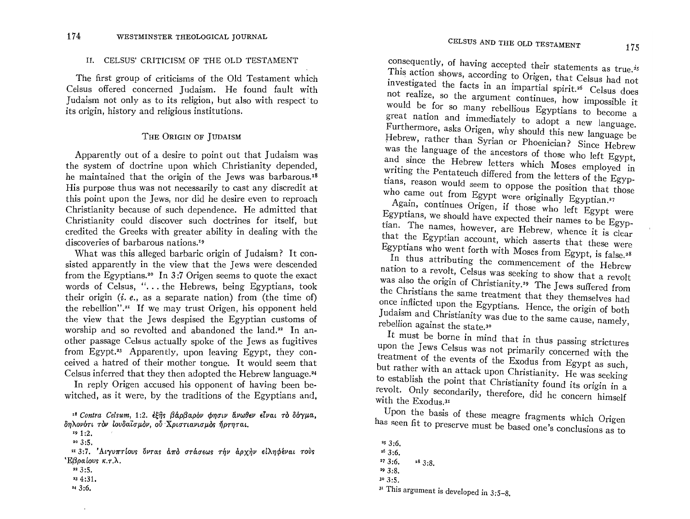#### II. CELSUS' CRITICISM OF THE OLD TESTAMENT

The first group of criticisms of the Old Testament which Celsus offered concerned Judaism. He found fault with Judaism not only as to its religion, but also with respect to its origin, history and religious institutions.

#### THE ORIGIN OF JUDAISM

Apparently out of a desire to point out that Judaism was the system of doctrine upon which Christianity depended. he maintained that the origin of the Jews was barbarous.<sup>18</sup> His purpose thus was not necessarily to cast any discredit at this point upon the Jews, nor did he desire even to reproach Christianity because of such dependence. He admitted that Christianity could discover such doctrines for itself, but credited the Greeks with greater ability in dealing with the discoveries of barbarous nations.<sup>19</sup>

What was this alleged barbaric origin of Judaism? It consisted apparently in the view that the Jews were descended from the Egyptians.<sup>20</sup> In 3:7 Origen seems to quote the exact words of Celsus, "... the Hebrews, being Egyptians, took their origin *(i.e.,* as a separate nation) from *(the time of)* the rebellion".<sup>21</sup> If we may trust Origen, his opponent held the view that the Jews despised the Egyptian customs of worship and so revolted and abandoned the land. $22$  In another passage Celsus actually spoke of the Jews as fugitives from Egypt.<sup>23</sup> Apparently, upon leaving Egypt, they conceived a hatred of their mother tongue. It would seem that Celsus inferred that they then adopted the Hebrew language.<sup>24</sup>

In reply Origen accused his opponent of having been bewitched, as it were, by the traditions of the Egyptians and,

<sup>18</sup> Contra Celsum, 1:2. εξής βάρβαρόν φησιν άνωθεν είναι το δόγμα,  $\delta$ ηλονότι τον ιουδαϊσμον, ού Χριστιανισμος ήρτηται.

19 1:2.  $\frac{1}{2}$ :

<sup>20</sup> 3:5.<br><sup>21</sup> 3:7. 'Αιγυπτίους ὄντας ἀπὸ στάσεως τήν ἀρχὴν εἰληφέναι τοὺς *'Eβραίους κ.τ.λ.* 

22 3:5.

'3 4:31.

'43:6.

 $\cdot$ 

consequently, of having accepted their statements as true.<sup>25</sup> This action shows, according to Origen, that Celsus had not investigated the facts in an impartial spirit.<sup>26</sup> Celsus does not realize, so the argument continues, how impossible it would be for so many rebellious Egyptians to become a great nation and immediately to adopt a new language. Furthermore, asks Origen, why should this new language be Hebrew, rather than Syrian or Phoenician? Since Hebrew was the language of the ancestors of those who left Egypt, and since the Hebrew letters which Moses employed in writing the Pentateuch differed from the letters of the Egyptians, reason would seem to oppose the position that those who came out from Egypt were originally Egyptian.<sup>27</sup>

Again, continues Origen, if those who left Egypt were Egyptians, we should have expected their names to be Egyptian. The names, however, are Hebrew, whence it is clear that the Egyptian account, which asserts that these were Egyptians who went forth with Moses from Egypt, is false.<sup>28</sup>

In thus attributing the commencement of the Hebrew nation to a revolt, Celsus was seeking to show that a revolt was also the origin of Christianity.<sup>29</sup> The Jews suffered from the Christians the same treatment that they themselves had once inflicted upon the Egyptians. Hence, the origin of both Judaism and Christianity was due to the same  $\epsilon_{\text{max}}$ , rebellion against the state.<sup>30</sup>

rebellion against the state.<sup>30</sup> It must be borne in mind that in thus passing strictures upon the Jews Celsus was not primarily concerned with the treatment of the events of the Exodus from Egypt as such, but rather with an attack upon Christianity. He was seeking to establish the point that Christianity found its origin in a revolt. Only secondarily, therefore, did here concern in a with the Exodus.<sup>31</sup>

Upon the basis of these meagre fragments which Origen has seen fit to preserve must be based one's conclusions as to

 $3:6$ .  $26.3:6.$ 

 $27 \cdot 3 \cdot 6$ .  $28 \cdot 3 \cdot 8$ .

<sup>&#</sup>x27;93:8.

<sup>30</sup> 3:5.

<sup>31</sup> This argument is developed in 3:5-8.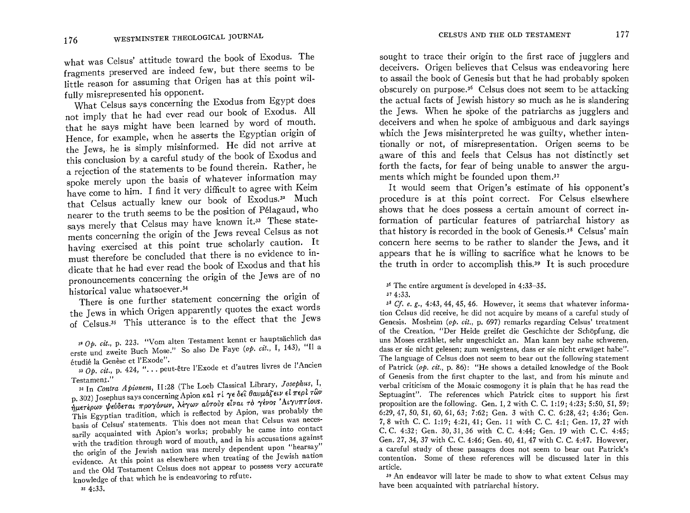what was Celsus' attitude toward the book of Exodus. The fragments preserved are indeed few, but there seems to be little reason for assuming that Origen has at this point wilfully misrepresented his opponent.

What Celsus says concerning the Exodus from Egypt does not imply that he had ever read our book of Exodus. All that he says might have been learned by word of mouth. Hence, for example, when he asserts the Egyptian origin of the Jews, he is simply misinformed. He did not arrive at this conclusion by a careful study of the book of Exodus and a rejection of the statements to be found therein. Rather, he spoke merely upon the basis of whatever information may have come to him. I find it very difficult to agree with Keim that Celsus actually knew our book of Exodus.<sup>32</sup> Much nearer to the truth seems to be the position of Pelagaud, who says merely that Celsus may have known it.<sup>33</sup> These stateays merely that Celsus may have known for<br>
hents concerning the origin of the Jews reveal Celsus as not<br>  $\therefore$  exercised at this point true scholarly caution. It having exercised at this point true scholarly caution. It must therefore be concluded that there is no evidence to indicate that he had ever read the book of Exodus and that his pronouncements concerning the origin of the Jews are of no historical value whatsoever.34

There is one further statement concerning the origin of the Jews in which Origen apparently quotes the exact words of Celsus.<sup>35</sup> This utterance is to the effect that the Jews

33 Op. cit., p. 424, "... peut-être l'Exode et d'autres livres de l'Ancien

Testament." 34 In *Contra Apionem*, II:28 (The Loeb Classical Library, Josephus, I, <sup>34</sup> In *Contra Apionem*, 11:28 (The Loep Classical Elitate of  $\pi \epsilon \rho l \tau \omega \nu$ <br>. 302) Josephus says concerning Apion κal  $\tau l \gamma \epsilon \delta \epsilon^2 \theta \omega \mu \alpha \zeta \epsilon^2 \mu \nu \epsilon^3 \tau^2 \nu \gamma$ ημετέρων ψεύδεται προγόνων, λέγων αύτους είναι το γένος 'Αιγυπτίους. This Egyptian tradition, which is reflected by Apion, was probably the basis of Celsus' statements. This does not mean that Celsus was necessarily acquainted with Apion's works; probably he came into contact with the tradition through word of mouth, and in his accusations against the origin of the Jewish nation was merely dependent upon "hearsay" evidence. At this point as elsewhere when treating of the Jewish nation and the Old Testament Celsus does not appear to possess very accurate knowledge of that which he is endeavoring to refute.<br> $35\ 4:33$ .

sought to trace their origin to the first race of jugglers and deceivers. Origen believes that Celsus was endeavoring here to assail the book of Genesis but that he had probably spoken obscurely on purpose. 36 Celsus does not seem to be attacking the actual facts of Jewish history so much as he is slandering the Jews. When he spoke of the patriarchs as jugglers and deceivers and when he spoke of ambiguous and dark sayings which the Jews misinterpreted he was guilty, whether intentionally or not, of misrepresentation. Origen seems to be aware of this and feels that Celsus has not distinctly set forth the facts, for fear of being unable to answer the arguments which might be founded upon them.37

It would seem that Origen's estimate of his opponent's procedure is at this point correct. For Celsus elsewhere shows that he does possess a certain amount of correct information of particular features of patriarchal history as that history is recorded in the book of Genesis.3s Celsus' main concern here seems to be rather to slander the Jews, and it appears that he is william to same what he has we to be ppears that he is willing to sacrifice what he knows to be<br>be truth in order to accomplish this.39 It is such procedure.

#### 36 The entire argument is developed in 4:33-35.  $\frac{1}{3}$

*38 Cf. e.* g., 4:43,44,45,46. However, it seems that whatever informa- $\frac{1}{2}$  c, e, g,  $\frac{1}{2}$  as  $\frac{1}{2}$  and  $\frac{1}{2}$  and  $\frac{1}{2}$  and  $\frac{1}{2}$  are full study of a careful study of a careful study of a careful study of a careful study of a careful study of a careful study of a car tion Celsus did receive, he did not acquire by means of a careful study of Genesis. Mosheim (op. cit., p. 697) remarks regarding Celsus' treatment of the Creation, "Der Heide greifet die Geschichte der Schöpfung, die uns Moses erzählet, sehr ungeschickt an. Man kann bey nahe schweren, dass er sie nicht gelesen; zum wenigstens, dass er sie nicht erwäget habe". The language of Celsus does not seem to bear out the following statement of Patrick (op.  $cit.$ , p. 86): "He shows a detailed knowledge of the Book of Genesis from the first chapter to the last, and from his minute and verbal criticism of the Mosaic cosmogony it is plain that he has read the Septuagint". The references which Patrick cites to support his first proposition are the following. Gen. 1, 2 with C. C. 1:19; 4:23; 5:50, 51, 59; 6:29, 47, 50, 51, 60, 61, 63; 7:62; Gen. 3 with C. C. 6:28, 42; 4:36; Gen. 7, 8 with C. C. 1:19; 4:21, 41; Gen. 11 with C. C. 4:1: Gen. 17, 27 with C. C. 4:32; Gen. 30, 31, 36 with C. C. 4:44; Gen. 19 with C. C. 4:45; Gen. 27, 34, 37 with C. C. 4:46; Gen. 40, 41, 47 with C. C. 4:47. However, a careful study of these passages does not seem to bear out Patrick's contention. Some of these references will be discussed later in this article. 39 An endeavor will later be made to show to what extent Celsus may

<sup>o</sup> An endeavor with atter be made to show to

*<sup>3</sup>' op. cit.,* p. 223. "Vom alten Testament kennt er hauPtsachlic~, das  $\omega$  as  $Op.$  cit., p. 223. "Vom alten restament kennt G hauptsachuse." erste und zweite Buch Mose." So also De Faye (op. cit., I, 143), "Il a étudié la Genèse et l'Exode".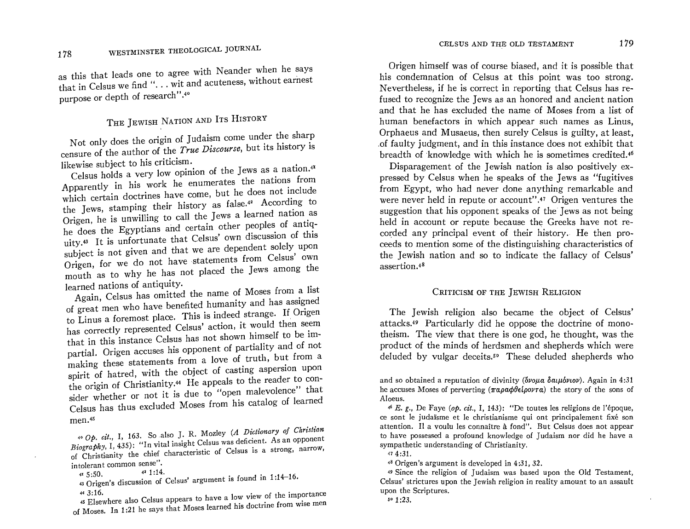as the leads one to agree with Neander with Neander with Neander with Neander with Neander with Neander with Ne this that leads one to agree with Neander when he says that in Celsus we find "... wit and acuteness, without earnest<br>purpose or depth of research".<sup>40</sup>

## THE JEWISH NATION AND ITS HISTORY Not only does the origin of  $\mathbf{u}$  under the sharp come under the sharp come under the sharp come under the sharp come under the sharp come under the sharp come under the sharp come under the sharp come under the sharp c

Not only does the origin of Judaism come under the sharp censure of the author of the *True Discourse*, but its history is likewise subject to his criticism.

Celsus holds a very low opinion of the Jews as a nation.<sup>41</sup> Apparently in his work he enumerates the nations from which certain doctrines have come, but he does not include the Jews, stamping their history as false.<sup>42</sup> According to Origen, he is unwilling to call the Jews a learned nation as he does the Egyptians and certain other peoples of antiquity.<sup>43</sup> It is unfortunate that Celsus' own discussion of this subject is not given and that we are dependent solely upon Origen, for we do not have statements from Celsus' own mouth as to why he has not placed the Jews among the learned nations of antiquity.

Again, Celsus has omitted the name of Moses from a list of great men who have benefited humanity and has assigned to Linus a foremost place. This is indeed strange. If Origen has correctly represented Celsus' action, it would then seem that in this instance Celsus has not shown himself to be impartial. Origen accuses his opponent of partiality and of not making these statements from a love of truth, but from a spirit of hatred, with the object of casting aspersion upon the origin of Christianity.<sup>44</sup> He appeals to the reader to consider whether or not it is due to "open malevolence" that Celsus has thus excluded Moses from his catalog of learned *400p. cit.,* I, 163. So also J. R. Mozley *(A* Di~tionary *of Christian* 

 $B_0 \cap A_1$  is 1, 435, So also L, R. Mozley (A Dictionary of Christian Biography, I, 435): "In vital insight Celsus was deficient. As an opponent of Christianity the chief characteristic of Celsus is a strong, narrow, intolerant common sense".<br> $41.5:50$ .  $42.1:14$ .

43 Origen's discussion of Celsus' argument is found in 1:14-16.

of Moses. In 1:21 he says that Moses learned his doctrine from wise men

Origen himself was of course biased, and it is possible that his condemnation of Celsus at this point was too strong. Nevertheless, if he is correct in reporting that Celsus has refused to recognize the Jews as an honored and ancient nation and that he has excluded the name of Moses from a list of human benefactors in which appear such names as Linus, Orphaeus and Musaeus, then surely Celsus is guilty, at least, of faulty judgment, and in this instance does not exhibit that breadth of knowledge with which he is sometimes credited.<sup>46</sup>

Disparagement of the Jewish nation is also positively expressed by Celsus when he speaks of the Jews as "fugitives" from Egypt, who had never done anything remarkable and were never held in repute or account".<sup>47</sup> Origen ventures the suggestion that his opponent speaks of the Jews as not being held in account or repute because the Greeks have not recorded any principal event of their history. He then proceeds to mention some of the distinguishing characteristics of the Jewish nation and so to indicate the fallacy of Celsus' assertion.<sup>48</sup>

#### CRITICISM OF THE JEWISH RELIGION

The Jewish religion also became the object of Celsus' attacks.<sup>49</sup> Particularly did he oppose the doctrine of monotheism. The view that there is one god, he thought, was the product of the minds of herdsmen and shepherds which were deluded by vulgar deceits.<sup>50</sup> These deluded shepherds who

and so obtained a reputation of divinity ( $\delta \nu \omega \mu \alpha \delta \alpha \mu \delta \nu \nu$ ). Again in 4:31 he accuses Moses of perverting  $(\pi a \rho a \phi \theta \epsilon \omega \rho \sigma a)$  the story of the sons of *46 E. g.,* r:e Faye *(op. cit.,* I, 143): "De toutes les religions de l'epoque,

<sup>46</sup> E. g., De Faye (op. cit., I, 143): "De toutes les religions de l'époque, ce sont le judaïsme et le christianisme qui ont principalement fixé son attention. Il a voulu les connaître à fond". But Celsus does not appear to have possessed a profound knowledge of Judaism nor did he have a sympathetic understanding of Christianity.  $4:31$ ,

 $48$  Origen's argument is developed in 4:31, 32.

<sup>49</sup> Since the religion of Judaism was based upon the Old Testament. Celsus' strictures upon the Jewish religion in reality amount to an assault upon the Scriptures.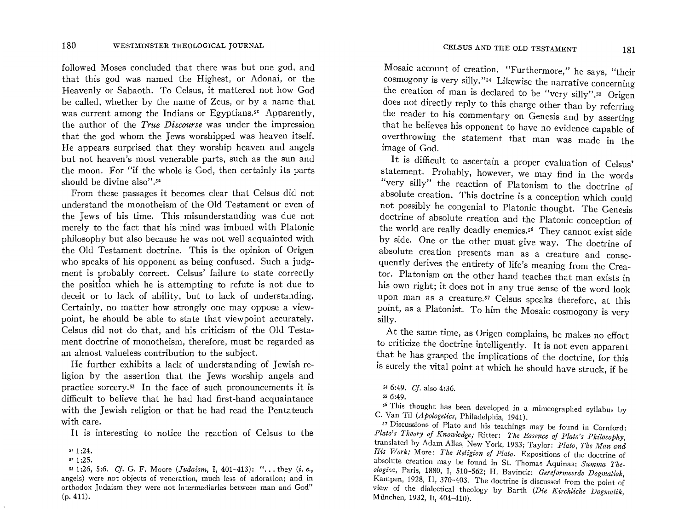followed Moses concluded that there was but one god, and that this god was named the Highest, or Adonai, or the Heavenly or Sabaoth. To Celsus, it mattered not how God be called, whether by the name of Zeus, or by a name that was current among the Indians or Egyptians. $5<sup>x</sup>$  Apparently, the author of the *True Discourse* was under the impression that the god whom the Jews worshipped was heaven itself. He appears surprised that they worship heaven and angels but not heaven's most venerable parts, such as the sun and the moon. For "if the whole is God, then certainly its parts should be divine also".<sup>52</sup>

From these passages it becomes clear that Celsus did not understand the monotheism of the Old Testament or even of the Jews of his time. This misunderstanding was due not merely to the fact that his mind was imbued with Platonic philosophy but also because he was not well acquainted with the Old Testament doctrine. This is the opinion of Origen who speaks of his opponent as being confused. Such a judgment is probably correct. Celsus' failure to state correctly the position which he is attempting to refute is not due to deceit or to lack of ability, but to lack of understanding. Certainly, no matter how strongly one may oppose a viewpoint, he should be able to state that viewpoint accurately. Celsus did not do that, and his criticism of the Old Testament doctrine of monotheism, therefore, must be regarded as an almost valueless contribution to the subject.

He further exhibits a lack of understanding of Jewish religion by the assertion that the Jews worship angels and practice sorcery.53 In the face of such pronouncements it is difficult to believe that he had had first-hand acquaintance with the Jewish religion or that he had read the Pentateuch with care.

It is interesting to notice the reaction of Celsus to the

Mosaic account of creation. "Furthermore," he says, "their cosmogony is very silly. "54 Likewise the narrative concerning the creation of man is declared to be "very silly".55 Origen does not directly reply to this charge other than by referring the reader to his commentary on Genesis and by asserting that he believes his opponent to have no evidence capable of verthrowing the statement that man was made in the statement  $\frac{1}{2}$  mage of  $C_{\alpha}$ .

It is difficult to ascertain a proper evaluation of Celsus' statement. Probably, however, we may find in the words "very silly" the reaction of Platonism to the doctrine of absolute creation. This doctrine is a conception which could not possibly be congenial to Platonic thought. The Genesis doctrine of absolute creation and the Platonic conception of the world are really deadly enemies.<sup>56</sup> They cannot exist side by side. One or the other must give way. The doctrine of absolute creation presents man as a creature and consequently derives the entirety of life's meaning from the Creator. Platonism on the other hand teaches that man exists in his own right; it does not in any true sense of the word look upon man as a creature.<sup>57</sup> Celsus speaks therefore, at this point, as a Platonist. To him the Mosaic community is very dividend the very interest of the Mosaic community is very interest. .........<br>......

At the same time, as Origen complains, he makes no effort to criticize the doctrine intelligently. It is not even apparent that he has grasped the implications of the doctrine, for this is surely the vital point at which he should have struck, if he

<sup>5</sup><sup>1</sup> 1:24.

<sup>5· 1:25.</sup> 

<sup>53</sup> 1:26, 5:6. *Cj.* G. F. Moore *(Judaism,* I, 401-413): H ••• they *(i. e.,*  we redstrikt that is a vertex of vertex of adopting  $\frac{1}{2}$  and independent in the independent of a dotter in the independent of a dotter in the independent of a dotter in the independent of a dotter in the induction of orthodox Judaism they were not between manual residents of adoration, and in  $\frac{1}{4}$ 

<sup>54</sup>6:49. *Cj.* also 4:36. 5 6.49.<br>5 6:40.

 $\frac{1}{2}$  This thought has been developed in a mimeographed syllabus by  $\frac{1}{2}$ C. Van Til *(Apologetics,* Philadelphia, 1941). C. Van Til (Apologetics, Philadelphia, 1941).<br><sup>57</sup> Discussions of Plato and his teachings may be found in Cornford:

*Plato's Theory of Knowledge;* Ritter: *The Essence of Plato's Philosophy,*  translated by Adam Alles, New York, 1933; Taylor: *Plato, The Man and His Work;* More: *The Religion of Plato.* Expositions of the doctrine of absolute creation may be found in St. Thomas Aquinas: *Summa Theologica,* Paris, 1880, I, 510-562; H. Eavinck: *Gereformeerde Dogmatiek,*  Kampen, 1928, Il, 370-403. The doctrine is discussed from the point of view of the dialectical theology **By Earth** *(Die Kirchliche Dogmatics)* Minister dialectical theory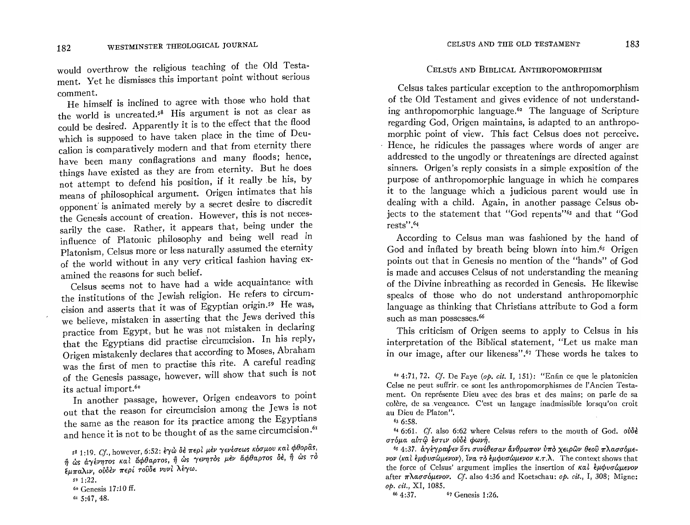would overthe religious teaching of the Old Testamould overthrow the religious teaching of the old research ment. Yet he dismisses this important point without serious comment.  $\mathbf{m}$  ment.

He himself is inclined to agree with those who had the the world is uncreated.<sup>58</sup> His argument is not as clear as could be desired. Apparently it is to the effect that the flood which is supposed to have taken place in the time of Deucalion is comparatively modern and that from eternity there have been many conflagrations and many floods; hence, things have existed as they are from eternity. But he does not attempt to defend his position, if it really be his, by means of philosophical argument. Origen intimates that his opponent is animated merely by a secret desire to discredit the Genesis account of creation. However, this is not necessarily the case. Rather, it appears that, being under the influence of Platonic philosophy and being well read in Platonism, Celsus more or less naturally assumed the eternity of the world without in any very critical fashion having examined the reasons for such belief. ned the reasons for such belief.

Celsus seems not to have not a wide acquaintance  $\frac{m}{2}$ . the institutions of the Jewish religion. He refers to circumcision and asserts that it was of Egyptian origin.<sup>59</sup> He was, we believe, mistaken in asserting that the Jews derived this practice from Egypt, but he was not mistaken in declaring that the Egyptians did practise circumcision. In his reply, Origen mistakenly declares that according to Moses, Abraham was the first of men to practise this rite. A careful reading of the Genesis passage, however, will show that such is not its actual import.<sup>60</sup>

In another passage, however, Origen endeavors to point out that the reason for circumcision among the Jews is not the same as the reason for its practice among the Egyptians<br>and hence it is not to be thought of as the same circumcision.<sup>61</sup>  $\frac{1}{2}$  1:19. Cf., however,  $\frac{1}{2}$ 

#### CELSUS AND BIBLICAL ANTHROPOMORPHISM

Celsus takes particular exception to the anthropomorphism Leisus takes particular exception to the anthropomorphism of the Old Testament and gives evidence of not understanding anthropomorphic language.<sup> $62$ </sup> The language of Scripture regarding God, Origen maintains, is adapted to an anthropomorphic point of view. This fact Celsus does not perceive. Hence, he ridicules the passages where words of anger are addressed to the ungodly or threatenings are directed against sinners. Origen's reply consists in a simple exposition of the purpose of anthropomorphic language in which he compares it to the language which a judicious parent would use in dealing with a child. Again, in another passage Celsus objects to the statement that "God repents"<sup>63</sup> and that "God rests".<sup>64</sup> According to Celsus man was fashioned by the hand of

According to Celsus man was fashioned by the hand of God and inflated by breath being blown into him.<sup>65</sup> Origen points out that in Genesis no mention of the "hands" of God is made and accuses Celsus of not understanding the meaning. of the Divine inbreathing as recorded in Genesis. He likewise speaks of those who do not understand anthropomorphic language as thinking that Christians attribute to God a form such as man possesses.<sup>66</sup>  $T$  as man possesses.

I his criticism of Origen seems to apply to Celsus in his interpretation of the Biblical statement, "Let us make man in our image, after our likeness".<sup> $67$ </sup> These words he takes to

 $^{64}$  6:01. *CJ*. also 6:02 where C στόμα αύτω έστιν ούδε φωνή.

<sup>65</sup> 4:37. άγέγραψεν ότι συνέθεσαν άνθρωπον ύπο χειρών θεού πλασσόμεvov (και έμφυσώμενον), ίνα το έμφυσώμενον κ.τ.λ. The context shows that the force of Celsus' argument implies the insertion of καλ *εμφυσώμενον* after πλασσόμενον. *Cf.* also 4:36 and Koetschau: *op. cit.*, I, 308; Migne: op. cit., XI, 1085.<br><sup>66</sup> 4:37. <sup>67</sup> Genesis 1:26.

 $^{58}$  1:19, Cf., however, 6:52: έγὼ δε περί μεν γενεσεως κου μου και φύσρως,  $n\ddot{\theta}$  ωs αγένητος και άφθαρτος, ή ως γενητός μεν άφθαρτος δε, ή ως τό έμπαλιν, ούδεν περί τουδε νυνί λέγω.

 $591:22.$ 

<sup>60</sup> Genesis 17:10 ff.<br>61 5:47, 48.

*<sup>62</sup> 4:71,72. Cl* De Faye *(op. cit.* I, 151): "Enfin ce que le platonicien <sup>62</sup> 4:71, 72. Cf. De Faye (*op. cit.* 1, 151): "Enfin ce que le platonicien Celse ne peut suffrir, ce sont les anthropomorphismes de l'Ancien Testament. On représente Dieu avec des bras et des mains; on parle de sa colère, de sa vengeance. C'est un langage inadmissible lorsqu'on croit au Dieu de Platon".<br> $\frac{63}{6}$  6:58.

 $6:58.$  Cf. also 6:52 where  $C_1$  where  $C_2$  where  $C_3$  where  $C_4$  where  $C_5$  over  $C_6$  over  $C_7$  over  $C_8$  over  $C_7$  over  $C_8$  over  $C_9$  over  $C_9$  over  $C_9$  over  $C_9$  over  $C_9$  over  $C_9$  over  $C_9$  over  $C$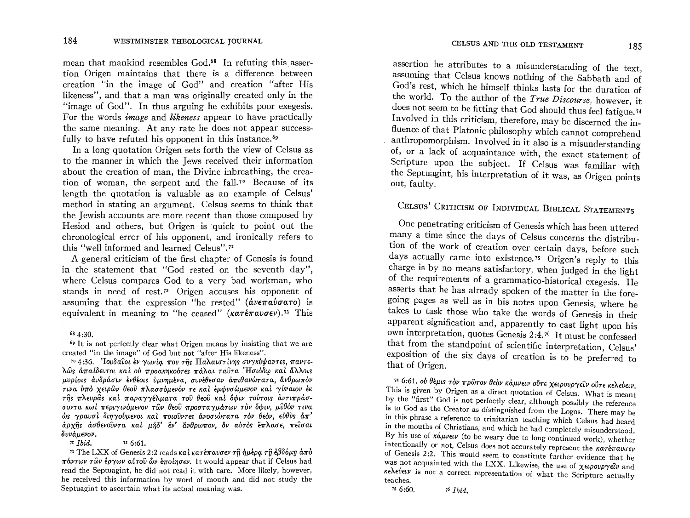mean that mankind resembles God.<sup>68</sup> In refuting this assertion Origen maintains that there is a difference between creation "in the image of God" and creation "after His likeness", and that a man was originally created only in the "image of God". In thus arguing he exhibits poor exegesis. For the words *image* and *likeness* appear to have practically the same meaning. At any rate he does not appear successfully to have refuted his opponent in this instance.<sup>69</sup>

In a long quotation Origen sets forth the view of Celsus as to the manner in which the Jews received their information about the creation of man, the Divine inbreathing, the creation of woman, the serpent and the fall,<sup>70</sup> Because of its length the quotation is valuable as an example of Celsus' method in stating an argument. Celsus seems to think that the Jewish accounts are more recent than those composed by Hesiod and others, but Origen is quick to point out the chronological error of his opponent, and ironically refers to this "well informed and learned Celsus".<sup>71</sup>

A general criticism of the first chapter of Genesis is found in the statement that "God rested on the seventh day", where Celsus compares God to a very bad workman, who stands in need of rest.<sup>72</sup> Origen accuses his opponent of assuming that the expression "he rested"  $(d\nu \epsilon \pi a \nu \sigma a \tau o)$  is equivalent in meaning to "he ceased" ( $k\alpha\tau\epsilon\pi\omega\sigma\epsilon\nu$ ).<sup>73</sup> This

#### 68 4:30.

<sup>69</sup> It is not perfectly clear what Origen means by insisting that we are created "in the image" of God but not "after His likeness".

<sup>70</sup> 4:36. Iovδαίοι έν γωνία που της Παλαιστίνης συγκύψαντες, παντελῶς ἀπαίδευτοι καὶ οὐ προακηκοότες πάλαι ταῦτα 'Ησιόδω καὶ ἄλλοις μυρίοις άνδράσιν ένθέοις ύμνημένα, συνέθεσαν άπιθανώτατα, άνθρωπόν τινα ύπό χειρών θεού πλασσόμενόν τε και εμφυσώμενον και γύναιον έκ της πλευράς και παραγγέλματα του θεού και όφιν τούτοις άντιπράσσοντα κωί περιγινόμενον των θεού προσταγμάτων τον όφιν, μύθόν τινα ώς γραυσί διηγούμενοι καί ποιούντες άνοσιώτατα τον θεόν, εύθυς άπ' άρχης άσθενούντα και μήδ' έν' άνθρωπον, δν αύτος έπλασε, πείσαι δυνάμενον.

<sup>11</sup> Ibid.  $726:61$ 

<sup>73</sup> The LXX of Genesis 2:2 reads  $\kappa a \iota \kappa a \tau \epsilon \pi a \nu \sigma \epsilon \nu$   $\tau \hat{n}$  *nutbe*  $\tau \hat{n} \epsilon \beta \delta \delta \mu n \, \dot{\alpha} \pi \delta$  $\pi \omega \tau \omega \nu \tau \omega \nu$  έργων αύτου  $\omega \nu$  έποιησεν. It would appear that if Celsus had read the Septuagint, he did not read it with care. More likely, however, he received this information by word of mouth and did not study the Septuagint to ascertain what its actual meaning was.

assertion he attributes to a misunderstanding of the text, assuming that Celsus knows nothing of the Sabbath and of God's rest, which he himself thinks lasts for the duration of the world. To the author of the True Discourse, however, it does not seem to be fitting that God should thus feel fatigue.<sup>74</sup> Involved in this criticism, therefore, may be discerned the influence of that Platonic philosophy which cannot comprehend anthropomorphism. Involved in it also is a misunderstanding of, or a lack of acquaintance with, the exact statement of Scripture upon the subject. If Celsus was familiar with the Septuagint, his interpretation of it was, as Origen points out, faulty.

## CELSUS' CRITICISM OF INDIVIDUAL BIBLICAL STATEMENTS

One penetrating criticism of Genesis which has been uttered many a time since the days of Celsus concerns the distribution of the work of creation over certain days, before such days actually came into existence.<sup>75</sup> Origen's reply to this charge is by no means satisfactory, when judged in the light of the requirements of a grammatico-historical exegesis. He asserts that he has already spoken of the matter in the foregoing pages as well as in his notes upon Genesis, where he takes to task those who take the words of Genesis in their apparent signification and, apparently to cast light upon his own interpretation, quotes Genesis 2:4.76 It must be confessed that from the standpoint of scientific interpretation, Celsus' exposition of the six days of creation is to be preferred to that of Origen.

74 6:61. ού θέμις τον πρώτον θεον κάμνειν ούτε χειρουργείν ούτε κελεύειν. This is given by Origen as a direct quotation of Celsus. What is meant by the "first" God is not perfectly clear, although possibly the reference is to God as the Creator as distinguished from the Logos. There may be in this phrase a reference to trinitarian teaching which Celsus had heard in the mouths of Christians, and which he had completely misunderstood. By his use of  $\kappa \dot{a} \mu \nu \epsilon \nu$  (to be weary due to long continued work), whether intentionally or not. Celsus does not accurately represent the  $\kappa a \tau \epsilon \pi a v \sigma \epsilon \nu$ of Genesis 2:2. This would seem to constitute further evidence that he was not acquainted with the LXX. Likewise, the use of  $\chi \epsilon \iota \rho o \nu \rho \gamma \epsilon \iota \nu$  and κελεύειν is not a correct representation of what the Scripture actually teaches.  $756:60$ .

 $76$  *Ibid.*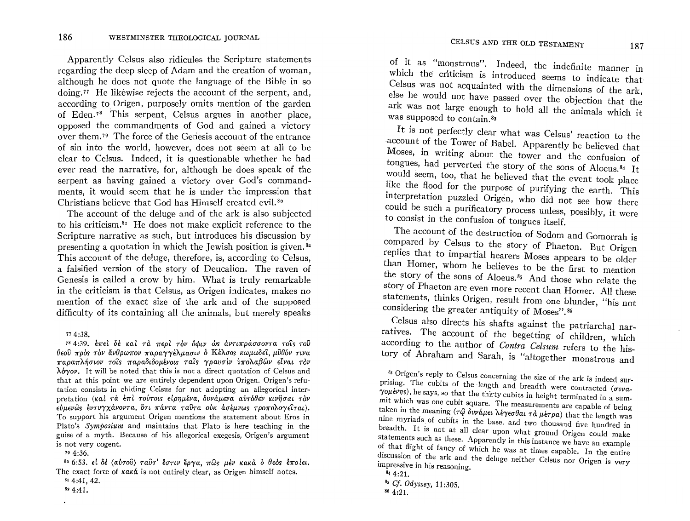Apparently Celsus also ridicules the Scripture statements regarding the deep sleep of Adam and the creation of woman, although he does not quote the language of the Bible in so doing.77 He likewise rejects the account of the serpent, and, according to Origen, purposely omits mention of the garden of Eden.<sup>78</sup> This serpent, Celsus argues in another place, opposed the commandments of God and gained a victory over them. 79 The force of the Geriesis account of the entrance of sin into the world, however, does not seem at all to be clear to Celsus. Indeed, it is questionable whether he had ever read the narrative, for, although he does speak of the serpent as having gained a victory over God's commandments, it would seem that he is under the impression that Christians believe that God has Himself created evil. 80

The account of the deluge and of the ark is also subjected to his criticism. ${}^{81}$  He does not make explicit reference to the Scripture narrative as such, but introduces his discussion by. presenting a quotation in which the Jewish position is given. $32$ This account of the deluge, therefore, is, according to Celsus, a falsified version of the story of Deucalion. The raven of Genesis is called a crow by him. What is truly remarkable in the criticism is that Celsus, as Origen indicates, makes no mention of the exact size of the ark and of the supposed difficulty of its containing all the animals, but merely speaks

78 4:39. έπεί δέ καί τά περί τον όφιν ως αντιπράσσοντα τοις του  $\theta$ εού πρός τον άνθρωπον παραγγέλμασιν ο Κέλσος κωμωδεί, μύθόν τινα  $\pi$ αραπλήσιον τοίς παραδιδομένοις ταίς γραυσίν ύπολαβών είναι τον  $\lambda \dot{\sigma} \gamma \dot{\sigma}$ . It will be noted that this is not a direct quotation of Celsus and that at this point we are entirely dependent upon Origen, Origen's refutation consists in chiding Celsus for not adopting an allegorical interpretation (Kal  $\tau \dot{\alpha}$   $\dot{\epsilon} \pi l$  rovrots  $\epsilon l$ pημένα, δυνάμενα αυτόθεν κινήσαι τον  $\epsilon\dot{v}$ μενώς έντυγχάνοντα, ότι πάντα ταΰτα ούκ ασέμνως τροπολογείται). To support his argument Origen mentions the statement about Eros in Plato's *Symposium* and maintains that Plato is here teaching in the guise of a myth. Because of his allegorical exegesis, Origen's argument is not very cogent.

<sup>79</sup> 4:36.<br><sup>80</sup> 6:53. εἰ δὲ (αὐτοῦ) ταῦτ' ἔστιν ἔργα, πῶς μὲν κακὰ ὁ θεὸς ἐποίει. The exact force of  $\kappa \alpha \kappa \dot{\alpha}$  is not entirely clear, as Origen himself notes.

of it as "monstrous". Indeed, the indefinite manner in which the criticism is introduced seems to indicate that Celsus was not acquainted with the dimensions of the ark, else he would not have passed over the objection that the ark was not large enough to hold all the animals which it was supposed to contain.<sup>83</sup>

It is not perfectly clear what was Celsus' reaction to the ,account of the Tower of Babel. Apparently he believed that Moses, in writing about the tower and the confusion of tongues, had perverted the story of the sons of Aloeus.84 It would seem, too, that he believed that the event took place like the flood for the purpose of purifying the earth. This interpretation puzzled Origen, who did not see how there could be such a purificatory process unless, possibly, it were to consist in the confusion of tongues itself.

The account of the destruction of Sodom and Gomorrah is compared by Celsus to the story of Phaeton. But Origen replies that to impartial hearers Moses appears to be older than Homer, whom he believes to be the first to mention the story of the sons of Aloeus. 85 And those who relate the story of Phaeton are even more recent than Homer. All these statements, thinks Origen, result from one blunder, "his not considering the greater antiquity of Moses". 86

Celsus also directs his shafts against the patriarchal narratives. The account of the begetting of children, which according to the author of *Contra Celsum* refers to the history of Abraham and Sarah, is "altogether monstrous and

 $77\,4:38.$ 

 $8r$  4:41, 42.

<sup>82 4:41.</sup> 

<sup>83</sup> Origen's reply to Celsus concerning the size of the ark is indeed surprising. The cubits of the length and breadth were contracted ( $\sigma v v$ a- $\gamma$ o $\mu$ <sub>t</sub> $\nu$  $\eta$ s), he says, so that the thirty cubits in height terminated in a summit which was one cubit square. The measurements are capable of being taken in the meaning  $(\tau \hat{\omega} \, \delta \nu \nu \hat{\omega} \mu \epsilon \nu \hat{\lambda} \epsilon \gamma \epsilon \sigma \theta \alpha \nu \tau \hat{\alpha} \mu \epsilon \tau \rho \alpha)$  that the length was nine myriads, of cubi'ts in the base, and two thousand five hundred in breadth. It is not at all clear upon what ground Origen could make statements such as these. Apparently in this instance we have an example of that flight of fancy of which he was at times capable. In the entire discussion of the ark and the deluge neither Celsus nor Origen is very impressive in his reasoning.

 $844:21.$ 

<sup>8</sup>s *Cf. Odyssey,* 11 :305. 86 4:21.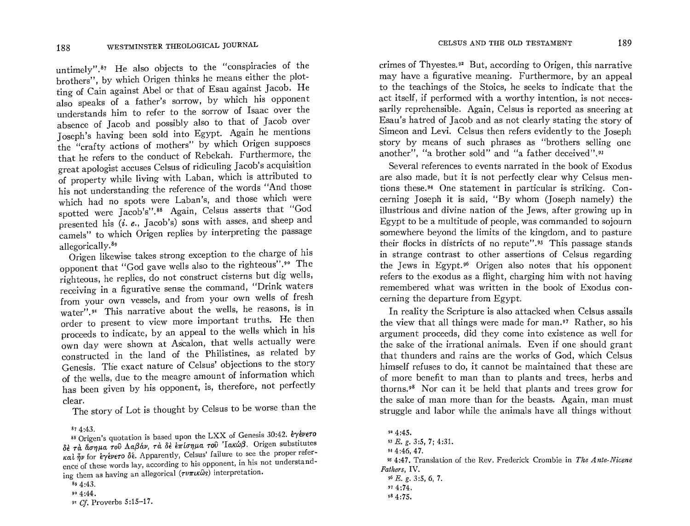$\mathbf{r}$  and  $\mathbf{r}$  are  $\mathbf{r}$  to the  $\mathbf{r}$  defined in the "conspiracies of the  $\begin{bmatrix} \text{ntimely} \\ \text{net} \end{bmatrix}$ . He also objects to the conspirates of the rothers", by which Urigen Illinks he means entire the place  $\frac{1}{\log 20}$  of Cain against Abel or that of Esau against jacob. The  $\mu$  understands him to refer to the sorrow of Isaac over the sorrow of Isaac over the sorrow of Isaac over the sorrow of Isaac over the sorrow of Isaac over the sorrow of Isaac over the sorrow of Isaac over the sorrow of nderstands him to refer to the solid of Jacob over bsence of  $Jacop$  and  $Dossup$  also to that of  $Jacop$  or  $\mathbb{R}$ oseph's having been sold lift explored the mortgan supposes the "crafty actions of mothers" by which Origen supposes that he refers to the conduct of Rebekah. Furthermore, the hat he refers to the conduct of repeath. Furthermore, we reat apologist accuses Ceisus of Hulculing Jacob's acquisition of property while living with Laban, which is attributed to his not understanding the reference of the words "And those which had no spots were Laban's, and those which were spotted were Jacob's".<sup>88</sup> Again, Celsus asserts that "God potted were jacob's .<sup>33</sup> Again, census asserted that  $\sim$  and sheep and resented his  $(i. e., \text{ Jacob } s)$  some with asses, and sheep and  $\frac{1}{2}$  . The contract of the charge of the charge of his

Origen likewise takes strong exception to the charge of  $\mu$ s. pponent that "God gave wells also to the right-ous". The ighteous, he replies, do not construct electric but dis words. receiving in a figurative sense the command, "Drink waters from your own vessels, and from your own wells of fresh rom your own vessels, and not you own wells or reasons  $\frac{1}{1}$  is the reasons, is in rater".<sup>91</sup> This narrative about the wells, he reasons, is in order to present to view more important truths. He then<br>proceeds to indicate, by an appeal to the wells which in his roceeds to indicate, by an appear to the went which in the wn day were shown at Ascalon, that wells actually were constructed in the land of the Philistines, as related by Genesis. The exact nature of Celsus' objections to the story of the wells, due to the meagre amount of information which f the wells, due to the meagre amount of mormation when ds DC<br>1

The story of Lot is thought by Celsus to be worse than the

ence of these words lay, according to his opponent, in his not understanding them as having an allegorical  $(\tau v \pi x \omega s)$  interpretation.

crimes of Thyestes. 92 But, according to Origen, this narrative  $\frac{m}{s}$  figures  $\frac{m}{s}$  but, according to Origen, this harrative the teaching of the teachings of the Stoics to indicate the set to indicate the set of the set of the set of the set of the set of the set of the set of the set of the set of the set of the set of the set of the set of the to the teachings of the Stoics, he seeks to indicate that the act itself, if performed with a worthy intention, is not necessarily reprehensible. Again, Celsus is reported as sneering at Esau's hatred of Jacob and as not clearly stating the story of Simeon and Levi. Celsus then refers evidently to the Joseph story by means of such phrases as "brothers selling one another", "a brother sold" and "a father deceived". 93

Several references to events narrated in the book of Exodus are also made, but it is not perfectly clear why Celsus mentions these. 94 One statement in particular is striking. Concerning Joseph it is said, "By whom (Joseph namely) the illustrious and divine nation of the Jews, after growing up in Egypt to be a multitude of people, was commanded to sojourn somewhere between the limits of the to people, was commanded to softunity omewhere beyond the mints of the kingdom, and to pasture their flocks in districts of no repute".<sup>95</sup> This passage stands<br>in strange contrast to other assertions of Celsus regarding the Jews in Egypt.<sup>96</sup> Origen also notes that his opponent refers to the exodus as a flight, charging him with not having remembered what was written in the book of Exodus concerning the departure from Egypt.

In reality the Scripture is also attacked when Celsus assails the view that all things were made for many control the settlements when  $\frac{1}{2}$  and  $\frac{1}{2}$  and  $\frac{1}{2}$  in  $\frac{1}{2}$  in  $\frac{1}{2}$  and  $\frac{1}{2}$  in  $\frac{1}{2}$  in  $\frac{1}{2}$  in  $\frac{1}{2}$  in  $\frac{1}{2}$  in  $\frac{1}{2}$  in  $\frac$  $\alpha$  are view that an emigs were made for man. A statier, so instance  $\alpha$ argument proceeds, did they come into existence as well for the sake of the irrational animals. Even if one should grant that thunders and rains are the works of God, which Celsus himself refuses to do, it cannot be maintained that these are  $\frac{1}{2}$  more benefit to  $\frac{1}{2}$  and the plants and the plants are than the plants and trees,  $\frac{1}{2}$  and  $\frac{1}{2}$  and  $\frac{1}{2}$  and  $\frac{1}{2}$  and  $\frac{1}{2}$  and  $\frac{1}{2}$  and  $\frac{1}{2}$  and  $\frac{1}{2}$  and  $\frac{1}{2}$  an t more behent to man than to plants and trees, herbs and the same same of man man man man more than the beasts. Again, man must be a start of the beasts. Again, man must be a start of the beasts. Again must be a start of the beasts. Again must be a start of the beasts. Again, th ne sake or man more than for the beasts. Again, man must

 $874:43.$  . ,  $88.$  Original is  $89.42 \div 10^{10}$ 88 Origen's quotation is based upon the LAA of Genesis 30.42. Operation δε τα άσημα του Λαβάν, τα δε έπίσημα του Ίακώβ. Origen substitutes  $\kappa a \hat{i} \hat{j}$  for  $\hat{\epsilon} \gamma \hat{\epsilon}$ νενετο δέ. Apparently, Celsus' failure to see the proper refer-

 $89\;4:43$ .<br> $99\;4:44$ .

*<sup>9&#</sup>x27;* Cf. Proverbs 5:15-17.

<sup>92 4:45.</sup> **4:45. g. 3:5, 7:5, 7:5, 7:5, 7:5, 7:5, 7:5, 7:5**  $L. g. 3:3, 4$ *9S* 4:47. Translation of the Rev. Frederick Crombie in *The Ante-Nicene*  <sup>95</sup> 4:47, Ira *Fathers*. IV.  $96$  E, g, 3:5, 6, 7.  $974:74.$ <br> $984:75.$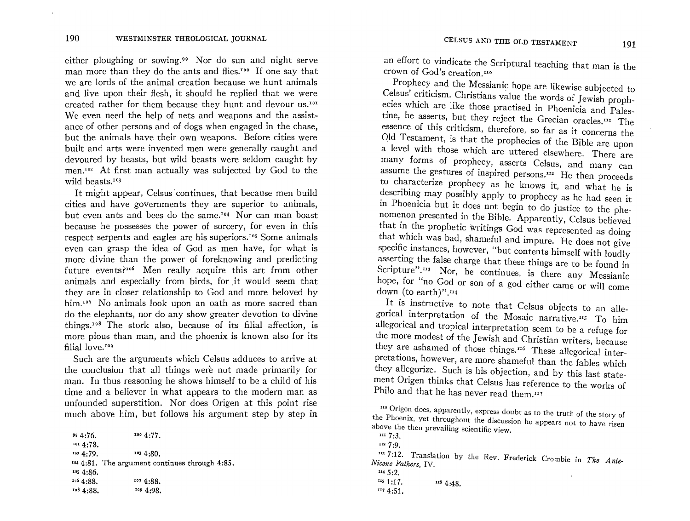either ploughing or sowing.<sup>99</sup> Nor do sun and night serve man more than they do the ants and flies.<sup>100</sup> If one say that we are lords of the animal creation because we hunt animals and live upon their flesh, it should be replied that we were created rather for them because they hunt and devour us.<sup>101</sup> We even need the help of nets and weapons and the assistance of other persons and of dogs when engaged in the chase, but the animals have their own weapons. Before cities were built and arts were invented men were generally caught and devoured by beasts, but wild beasts were seldom caught by men.<sup>102</sup> At first man actually was subjected by God to the wild beasts.<sup>103</sup>

It might appear, Celsus continues, that because men build cities and have governments they are superior to animals, but even ants and bees do the same.'04 Nor can man boast because he possesses the power of sorcery, for even in this respect serpents and eagles are his superiors.<sup>105</sup> Some animals even can grasp the idea of God as men have, for what is more divine than the power of foreknowing and predicting future events?<sup>106</sup> Men really acquire this art from other animals and especially from birds, for it would seem that they are in closer relationship to God and more beloved by him.<sup>107</sup> No animals look upon an oath as more sacred than do the elephants, nor do any show greater devotion to divine things.<sup>108</sup> The stork also, because of its filial affection, is more pious than man, and the phoenix is known also for its filial love.<sup>109</sup>

Such are the arguments which Celsus adduces to arrive at the conclusion that all things were not made primarily for man. In thus reasoning he shows himself to be a child of his time and a believer in what appears to the modern man as unfounded superstition. Nor does Origen at this point rise much above him, but follows his argument step by step in

 $99\,4:76.$   $100\,4:77.$ 101 4:78.  $102.4:79.$   $103.4:80.$ 1044:81. The argument continues through 4:85.  $1054:86.$ 106 4:88. <sup>108</sup> 4:88. 107 4:88. 109 4:98.

an effort to vindicate the Scriptural teaching that man is the crown of God's creation.<sup>110</sup>

Prophecy and the Messianic hope are likewise subjected to Celsus' criticism. Christians value the words of Jewish prophecies which are like those practised in Phoenicia and Palestine, he asserts, but they reject the Grecian oracles.<sup>III</sup> The essence of this criticism, therefore, so far as it concerns the Old Testament, is that the prophecies of the Bible are upon a level with those which are uttered elsewhere. There are many forms of prophecy, asserts Celsus, and many can assume the gestures of inspired persons. $^{112}$  He then proceeds to characterize prophecy as he knows it, and what he is describing may possibly apply to prophecy as he had seen it in Phoenicia but it does not begin to do justice to the phenomenon presented in the Bible. Apparently, Celsus believed that in the prophetic writings God was represented as doing that which was bad, shameful and impure. He does not give specific instances, however, "but contents himself with loudly asserting the false charge that these things are to be found in Scripture".<sup>113</sup> Nor, he continues, is there any Messianic hope, for "no God or son of a god either came or wiII come down (to earth)".<sup>114</sup>

It is instructive to note that Celsus objects to an allegorical interpretation of the Mosaic narrative.<sup>115</sup> To him aIIegorical and tropical interpretation seem to be a refuge for the more modest of the Jewish and Christian writers, because they are ashamed of those things.<sup>116</sup> These allegorical interpretations, however, are more shameful than the fables which they allegorize. Such is his objection, and by this last statement Origen thinks that Celsus has reference to the works of Philo and that he has never read them."7

1I37:12. Translation by the Rev. Frederick Crombie in *The Ante-Nicene Fathers,* IV. Nicene Fathers, IV.<br> $1445:2.$ 

 $110$  Origen does, apparently, express doubt as to the truth of the story of the Phoenix, yet throughout the discussion he appears not to have risen above the then prevailing scientific view.<br> $\frac{1}{2}$  is:

II2 7:9.

 $\frac{115}{117}$ . 116 4:48.

<sup>1174:51.</sup>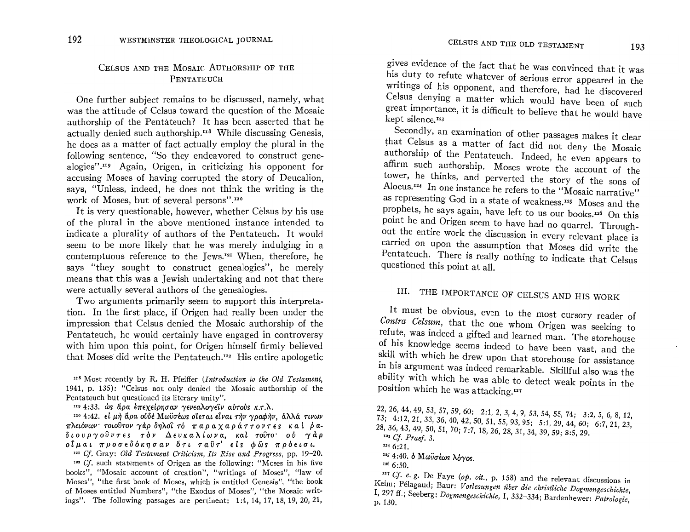## CELSUS AND THE MOSAIC AUTHORSHIP OF THE PENTATEUCH

One further subject remains to be discussed, namely, what was the attitude of Celsus toward the question of the Mosaic authorship of the Pentateuch? It has been asserted that he actually denied such authorship.<sup>118</sup> While discussing Genesis. he does as a matter of fact actually employ the plural in the following sentence, "So they endeavored to construct genealogies".<sup>119</sup> Again, Origen, in criticizing his opponent for accusing Moses of having corrupted the story of Deucalion. says, "Unless, indeed, he does not think the writing is the work of Moses, but of several persons".<sup>120</sup>

It is very questionable, however, whether Celsus by his use of the plural in the above mentioned instance intended to indicate a plurality of authors of the Pentateuch. It would seem to be more likely that he was merely indulging in a contemptuous reference to the Jews.<sup>121</sup> When, therefore, he says "they sought to construct genealogies", he merely means that this was a Jewish undertaking and not that there were actually several authors of the genealogies.

Two arguments primarily seem to support this interpretation. In the first place, if Origen had really been under the impression that Celsus denied the Mosaic authorship of the Pentateuch, he would certainly have engaged in controversy with him upon this point, for Origen himself firmly believed that Moses did write the Pentateuch.<sup>122</sup> His entire apologetic

<sup>118</sup> Most recently by R. H. Pfeiffer (Introduction to the Old Testament, 1941, p. 135): "Celsus not only denied the Mosaic authorship of the Pentateuch but questioned its literary unity".

<sup>119</sup> 4:33. ως άρα επεχείρησαν γενεαλογείν αύτους κ.τ.λ.

<sup>120</sup> 4:42. εί μή άρα ούδε Μωϋσέως οϊεται είναι τήν γραφήν, άλλά τινων πλειόνων τοιούτον γάρδηλοί τό παραχαράττοντες καί ραδιουργοῦντες τὸν Δευκαλίωνα, καὶ τοῦτο οὐ γὰρ οίμαι προσεδόκησαν ότι ταῦτ' είς φῶς πρόεισι.

121 Cf. Gray: Old Testament Criticism, Its Rise and Progress, pp. 19-20.  $122$  Cf. such statements of Origen as the following: "Moses in his five books", "Mosaic account of creation", "writings of Moses", "law of Moses", "the first book of Moses, which is entitled Genesis", "the book of Moses entitled Numbers", "the Exodus of Moses", "the Mosaic writings". The following passages are pertinent: 1:4, 14, 17, 18, 19, 20, 21,

gives evidence of the fact that he was convinced that it was his duty to refute whatever of serious error appeared in the writings of his opponent, and therefore, had he discovered Celsus denying a matter which would have been of such great importance, it is difficult to believe that he would have kept silence.<sup>123</sup>

Secondly, an examination of other passages makes it clear that Celsus as a matter of fact did not deny the Mosaic authorship of the Pentateuch. Indeed, he even appears to affirm such authorship. Moses wrote the account of the tower, he thinks, and perverted the story of the sons of Aloeus.<sup>124</sup> In one instance he refers to the "Mosaic narrative" as representing God in a state of weakness.<sup>125</sup> Moses and the prophets, he says again, have left to us our books.<sup>126</sup> On this point he and Origen seem to have had no quarrel. Throughout the entire work the discussion in every relevant place is carried on upon the assumption that Moses did write the Pentateuch. There is really nothing to indicate that Celsus questioned this point at all.

# III. THE IMPORTANCE OF CELSUS AND HIS WORK

It must be obvious, even to the most cursory reader of Contra Celsum, that the one whom Origen was seeking to refute, was indeed a gifted and learned man. The storehouse of his knowledge seems indeed to have been vast, and the skill with which he drew upon that storehouse for assistance in his argument was indeed remarkable. Skillful also was the ability with which he was able to detect weak points in the position which he was attacking.<sup>127</sup>

22, 26, 44, 49, 53, 57, 59, 60; 2:1, 2, 3, 4, 9, 53, 54, 55, 74; 3:2, 5, 6, 8, 12, 73; 4:12, 21, 33, 36, 40, 42, 50, 51, 55, 93, 95; 5:1, 29, 44, 60; 6:7, 21, 23, 28, 36, 43, 49, 50, 51, 70; 7:7, 18, 26, 28, 31, 34, 39, 59; 8:5, 29.  $123 \text{ Cf. } Praef. 3.$ 

125 4:40. δ Μωϋσέως λόγος.

126 6:50.

147 Cf. e. g. De Faye (op. cit., p. 158) and the relevant discussions in Keim; Pélagaud; Baur: Vorlesungen über die christliche Dogmengeschichte, I, 297 ff.; Seeberg: Dogmengeschichte, I, 332-334; Bardenhewer: Patrologie, p. 130.

 $1246:21$ .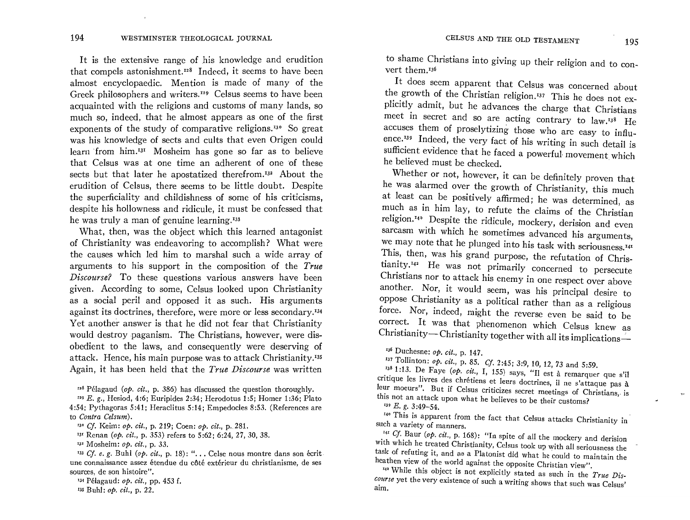It is the extensive range of his knowledge and erudition that compels astonishment. $I^{28}$  Indeed, it seems to have been almost encyclopaedic. Mention is made of many of the Greek philosophers and writers.<sup>129</sup> Celsus seems to have been acquainted with the religions and customs of many lands, so much so, indeed, that he almost appears as one of the first exponents of the study of comparative religions.<sup>130</sup> So great was his knowledge of sects and cults that even Origen could learn from him.<sup>131</sup> Mosheim has gone so far as to believe that Celsus was at one time an adherent of one of these sects but that later he apostatized therefrom.<sup>132</sup> About the erudition of Celsus, there seems to be little doubt. Despite the superficiality and childishness of some of his criticisms, despite his hollowness and ridicule, it must be confessed that he was truly a man of genuine learning.<sup>133</sup>

What, then, was the object which this learned antagonist of Christianity was endeavoring to accomplish? What were the causes which led him to marshal such a wide array of arguments to his support in the composition of the *True Discourse?* To these questions various answers have been given. According to some, Celsus looked upon Christianity as a social peril and opposed it as such. His arguments against its doctrines, therefore, were more or less secondary.<sup>134</sup> Yet another answer is that he did not fear that Christianity would destroy paganism. The Christians, however, were disobedient to the laws, and consequently were deserving of attack. Hence, his main purpose was to attack Christianity.<sup>135</sup> Again, it has been held that the *True Discourse* was written

<sup>128</sup> Pélagaud (*op. cit.*, p. 386) has discussed the question thoroughly.

*"9* E. g., Hesiod, 4:6; Euripides 2:34; Herodotus 1:5; Homer 1:36; Plato 4:54; Pythagoras 5:41; Heraclitus 5:14; Empedocles 8:53. (References are to *Contra Celsum).* 

<sup>133</sup> Cf. e. g. Buhl (op. cit., p. 18): "... Celse nous montre dans son écrit. une connaissance assez etendue du c6t6 ext6rieur du christianisme, de ses sources, de son histoire".

135 Buhl: *op. cit.,* p. 22.

to shame Christians into giving up their religion and to convert them 136

It does seem apparent that Celsus was concerned about the growth of the Christian religion.<sup>137</sup> This he does not explicitly admit, but he advances the charge that Christians meet in secret and so are acting contrary to law.r3s He accuses them of proselytizing those who are easy to infiuence.<sup>139</sup> Indeed, the very fact of his writing in such detail is sufficient evidence that he faced a powerful· movement which he believed must be checked. .

Whether or not, however, it can be definitely proven that he was alarmed over the growth of Christianity, this much at least can be positively affirmed; he was determined, as much as in him lay, to refute the claims of the Christian religion.<sup>14</sup> Despite the ridicule, mockery, derision and even sarcasm with which he sometimes advanced his arguments, we may note that he plunged into his task with seriousness.<sup>141</sup> This, then, was his grand purpose, the refutation of Chris- $\mu$ <sup>142</sup> He was not primarily concerned to persecute Christians nor to attack his enemy in one respect over above another. Nor, it would seem, was his principal desire to oppose Christianity as a political rather than as a religious force. Nor, indeed, might the reverse even be said to be correct. It was that phenomenon which Celsus knew as Christianity-Christianity together with all its implications-

'36 Duchesne: *op. cit.,* p. 147.

<sup>138</sup> 1:13. De Faye (op. cit., I, 155) says, "Il est à remarquer que s'il CrItique les Itvres des chretiens et leurs doctrines, iI ne s'attaque pas a leur moeurs". But if Celsus criticizes secret meetings of Christians, is this not an attack upon what he believes to be their customs?

<sup>339</sup> E. g. 3:49-54. <sup>**'**39</sup> This is apparent from the fact that Celsus attacks Christianity in<sup>-</sup> such a variety of manners.

<sup>141</sup> *Cf.* Baur (*op. cit., p.* 168): "In spite of all the mockery and derivion with which he treated Christianity, Celsus took up with all seriousness the task of refuting it, and as a Platonist did what he could to maintain the heathen view of the world against the opposite Christian view".

'4' While this object is not explicitly stated as such in the *True Dis*course yet the very existence of such a writing shows that such was Celsus'  $\lim_{n \to \infty}$ 

*<sup>&#</sup>x27;30* Cf. Keim: *op. cit.,* p. 219; Coen: *op. cit.,* p. 281.

<sup>13&#</sup>x27; Renan *(op. cit.,* p. 353) refers to 5:62; 6:24, 27, 30, 38.

<sup>&#</sup>x27;3' Mosheim: *op. cit.,* p. 33.

<sup>134</sup> P6lagaud: *op. cit.,* pp. 453 f.

<sup>&#</sup>x27;3; ToIlinton: *op. cit.,* p. 85. Cf. 2:45; 3:9, 10, 12, 73 and 5:59.